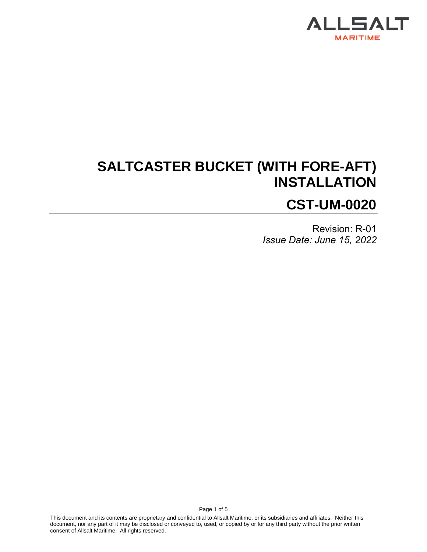

# **SALTCASTER BUCKET (WITH FORE-AFT) INSTALLATION CST-UM-0020**

Revision: R-01 *Issue Date: June 15, 2022*

This document and its contents are proprietary and confidential to Allsalt Maritime, or its subsidiaries and affiliates. Neither this document, nor any part of it may be disclosed or conveyed to, used, or copied by or for any third party without the prior written consent of Allsalt Maritime. All rights reserved.

Page 1 of 5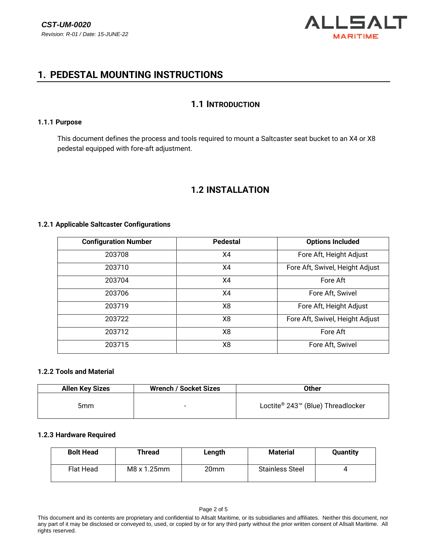

## **1. PEDESTAL MOUNTING INSTRUCTIONS**

## **1.1 INTRODUCTION**

### **1.1.1 Purpose**

This document defines the process and tools required to mount a Saltcaster seat bucket to an X4 or X8 pedestal equipped with fore-aft adjustment.

## **1.2 INSTALLATION**

## **1.2.1 Applicable Saltcaster Configurations**

| <b>Configuration Number</b> | <b>Pedestal</b> | <b>Options Included</b>         |  |  |  |
|-----------------------------|-----------------|---------------------------------|--|--|--|
| 203708                      | X4              | Fore Aft, Height Adjust         |  |  |  |
| 203710                      | X4              | Fore Aft, Swivel, Height Adjust |  |  |  |
| 203704                      | X4              | Fore Aft                        |  |  |  |
| 203706                      | X4              | Fore Aft, Swivel                |  |  |  |
| 203719                      | X8              | Fore Aft, Height Adjust         |  |  |  |
| 203722                      | X8              | Fore Aft, Swivel, Height Adjust |  |  |  |
| 203712                      | X8              | Fore Aft                        |  |  |  |
| 203715                      | X8              | Fore Aft, Swivel                |  |  |  |

## **1.2.2 Tools and Material**

| <b>Allen Key Sizes</b> | <b>Wrench / Socket Sizes</b> | Other                             |  |
|------------------------|------------------------------|-----------------------------------|--|
| 5mm                    | $\overline{\phantom{0}}$     | Loctite® 243™ (Blue) Threadlocker |  |

### **1.2.3 Hardware Required**

| <b>Bolt Head</b> | <b>Thread</b> | Length | <b>Material</b>        | <b>Quantity</b> |
|------------------|---------------|--------|------------------------|-----------------|
| Flat Head        | M8 x 1.25mm   | 20mm   | <b>Stainless Steel</b> |                 |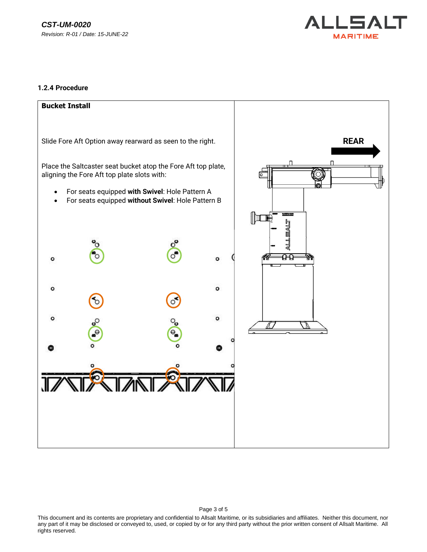

### **1.2.4 Procedure**

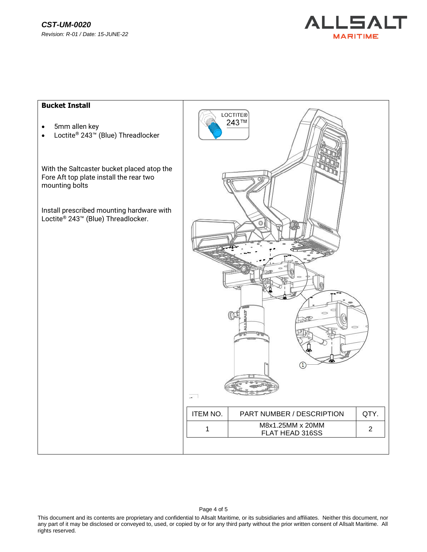